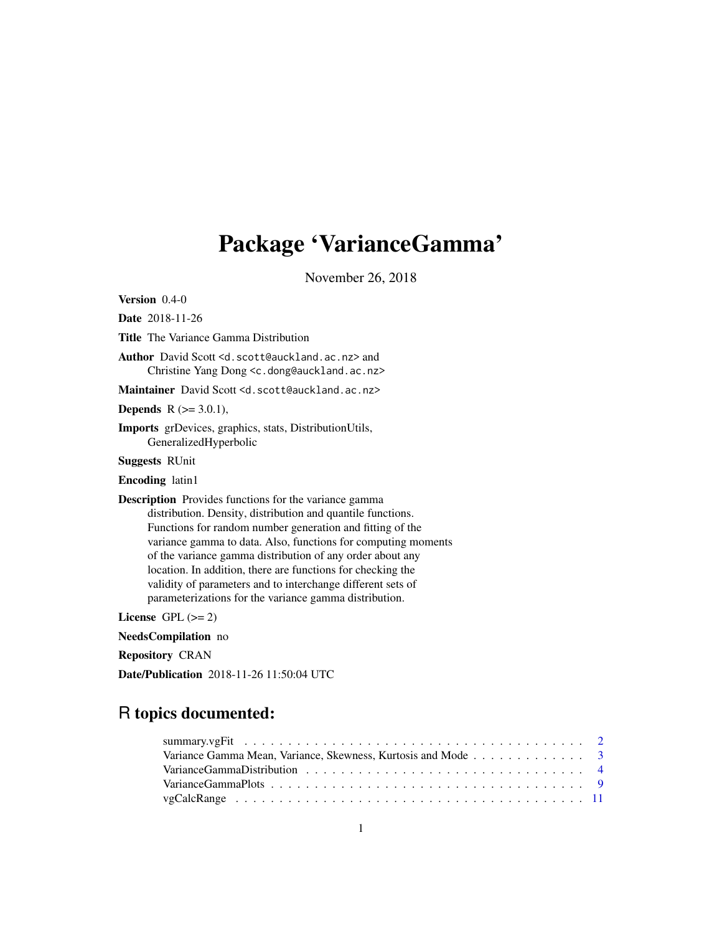# Package 'VarianceGamma'

November 26, 2018

<span id="page-0-0"></span>Version 0.4-0

Date 2018-11-26

Title The Variance Gamma Distribution

Author David Scott <d.scott@auckland.ac.nz> and Christine Yang Dong <c.dong@auckland.ac.nz>

Maintainer David Scott <d.scott@auckland.ac.nz>

**Depends** R  $(>= 3.0.1)$ ,

Imports grDevices, graphics, stats, DistributionUtils, GeneralizedHyperbolic

Suggests RUnit

Encoding latin1

Description Provides functions for the variance gamma distribution. Density, distribution and quantile functions. Functions for random number generation and fitting of the variance gamma to data. Also, functions for computing moments of the variance gamma distribution of any order about any location. In addition, there are functions for checking the validity of parameters and to interchange different sets of parameterizations for the variance gamma distribution.

License GPL  $(>= 2)$ 

NeedsCompilation no

Repository CRAN

Date/Publication 2018-11-26 11:50:04 UTC

# R topics documented:

| Variance Gamma Mean, Variance, Skewness, Kurtosis and Mode 3 |  |
|--------------------------------------------------------------|--|
|                                                              |  |
|                                                              |  |
|                                                              |  |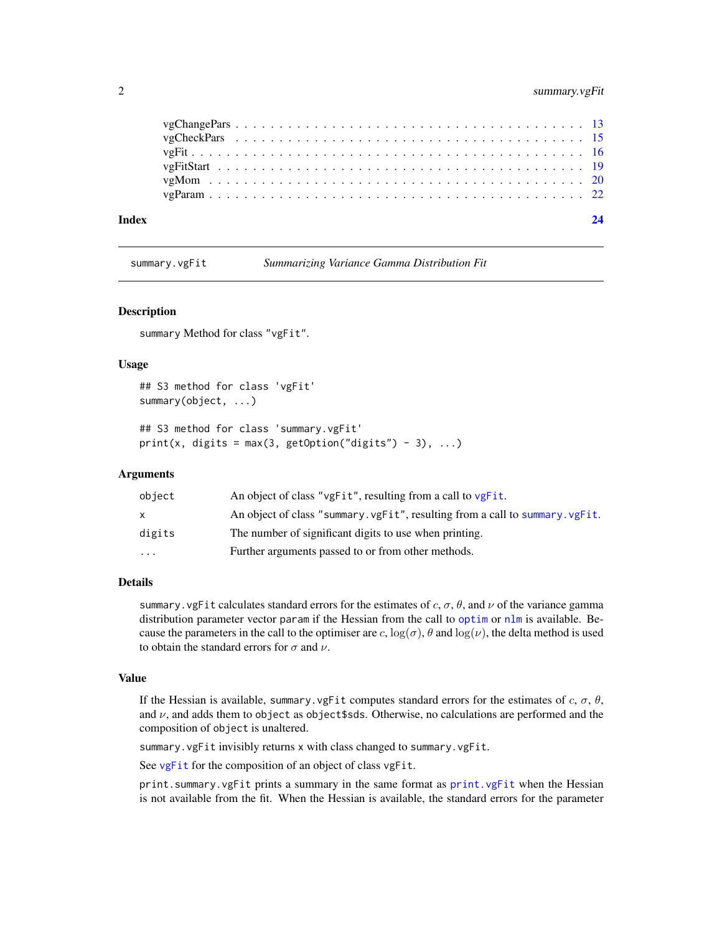# <span id="page-1-0"></span>2 summary.vgFit

| Index |  |
|-------|--|
|       |  |
|       |  |
|       |  |
|       |  |
|       |  |
|       |  |

<span id="page-1-1"></span>summary.vgFit *Summarizing Variance Gamma Distribution Fit*

# Description

summary Method for class "vgFit".

# Usage

```
## S3 method for class 'vgFit'
summary(object, ...)
## S3 method for class 'summary.vgFit'
print(x, digits = max(3, getOption("digits") - 3), ...)
```
# Arguments

| object | An object of class "vgFit", resulting from a call to vgFit.                 |
|--------|-----------------------------------------------------------------------------|
| X      | An object of class "summary.vgFit", resulting from a call to summary.vgFit. |
| digits | The number of significant digits to use when printing.                      |
| .      | Further arguments passed to or from other methods.                          |

# Details

summary. vgFit calculates standard errors for the estimates of c,  $\sigma$ ,  $\theta$ , and  $\nu$  of the variance gamma distribution parameter vector param if the Hessian from the call to [optim](#page-0-0) or [nlm](#page-0-0) is available. Because the parameters in the call to the optimiser are c,  $log(\sigma)$ ,  $\theta$  and  $log(\nu)$ , the delta method is used to obtain the standard errors for  $\sigma$  and  $\nu$ .

#### Value

If the Hessian is available, summary.vgFit computes standard errors for the estimates of c,  $\sigma$ ,  $\theta$ , and  $\nu$ , and adds them to object as object \$sds. Otherwise, no calculations are performed and the composition of object is unaltered.

summary. vgFit invisibly returns x with class changed to summary. vgFit.

See [vgFit](#page-15-1) for the composition of an object of class vgFit.

print.summary.vgFit prints a summary in the same format as [print.vgFit](#page-15-2) when the Hessian is not available from the fit. When the Hessian is available, the standard errors for the parameter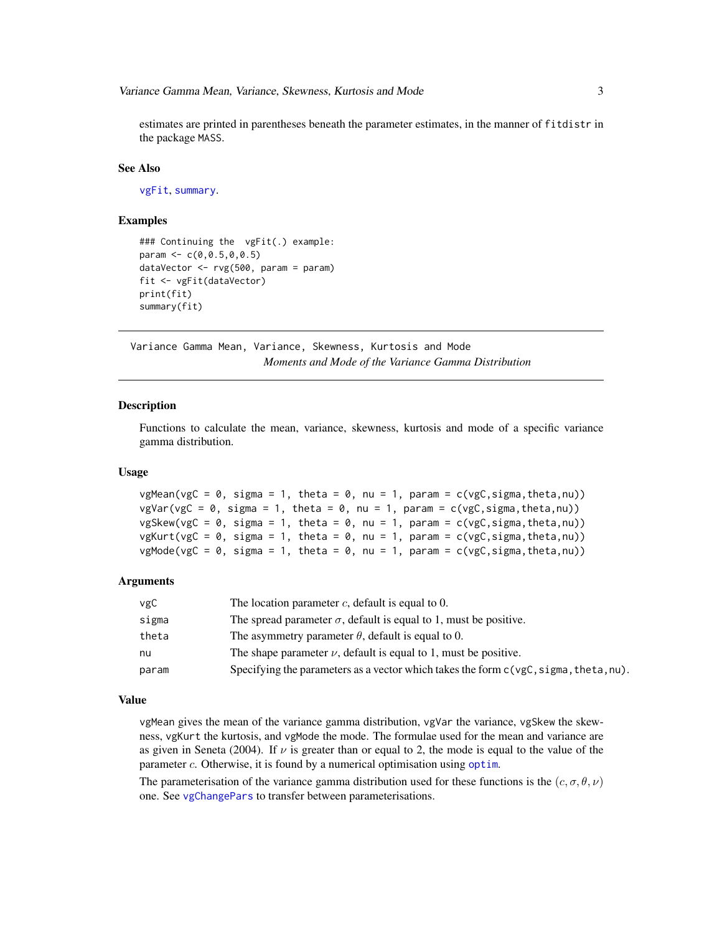<span id="page-2-0"></span>estimates are printed in parentheses beneath the parameter estimates, in the manner of fitdistr in the package MASS.

#### See Also

[vgFit](#page-15-1), [summary](#page-0-0).

# Examples

```
### Continuing the vgFit(.) example:
param <-c(0, 0.5, 0, 0.5)dataVector <- rvg(500, param = param)
fit <- vgFit(dataVector)
print(fit)
summary(fit)
```
Variance Gamma Mean, Variance, Skewness, Kurtosis and Mode *Moments and Mode of the Variance Gamma Distribution*

# <span id="page-2-1"></span>Description

Functions to calculate the mean, variance, skewness, kurtosis and mode of a specific variance gamma distribution.

# Usage

```
vgMean(vgC = 0, sigma = 1, theta = 0, nu = 1, param = c(vgC,sigma,theta,theta,nu))vgVar(vgC = 0, sigma = 1, theta = 0, nu = 1, param = c(vgC,sigma,theta,nu))vgSkew(vgc = 0, sigma = 1, theta = 0, nu = 1, param = c(vgc, sigma, theta, nu))vgKurt(vgC = 0, sigma = 1, theta = 0, nu = 1, param = c(vgC, sigma, theta, nu))vgMode(vgC = 0, sigma = 1, theta = 0, nu = 1, param = c(vgC, sigma, theta, nu))
```
# Arguments

| vgC   | The location parameter $c$ , default is equal to 0.                                     |
|-------|-----------------------------------------------------------------------------------------|
| sigma | The spread parameter $\sigma$ , default is equal to 1, must be positive.                |
| theta | The asymmetry parameter $\theta$ , default is equal to 0.                               |
| nu    | The shape parameter $\nu$ , default is equal to 1, must be positive.                    |
| param | Specifying the parameters as a vector which takes the form $c(ygC, sigma, theta, nu)$ . |

#### Value

vgMean gives the mean of the variance gamma distribution, vgVar the variance, vgSkew the skewness, vgKurt the kurtosis, and vgMode the mode. The formulae used for the mean and variance are as given in Seneta (2004). If  $\nu$  is greater than or equal to 2, the mode is equal to the value of the parameter c. Otherwise, it is found by a numerical [optim](#page-0-0)isation using optim.

The parameterisation of the variance gamma distribution used for these functions is the  $(c, \sigma, \theta, \nu)$ one. See [vgChangePars](#page-12-1) to transfer between parameterisations.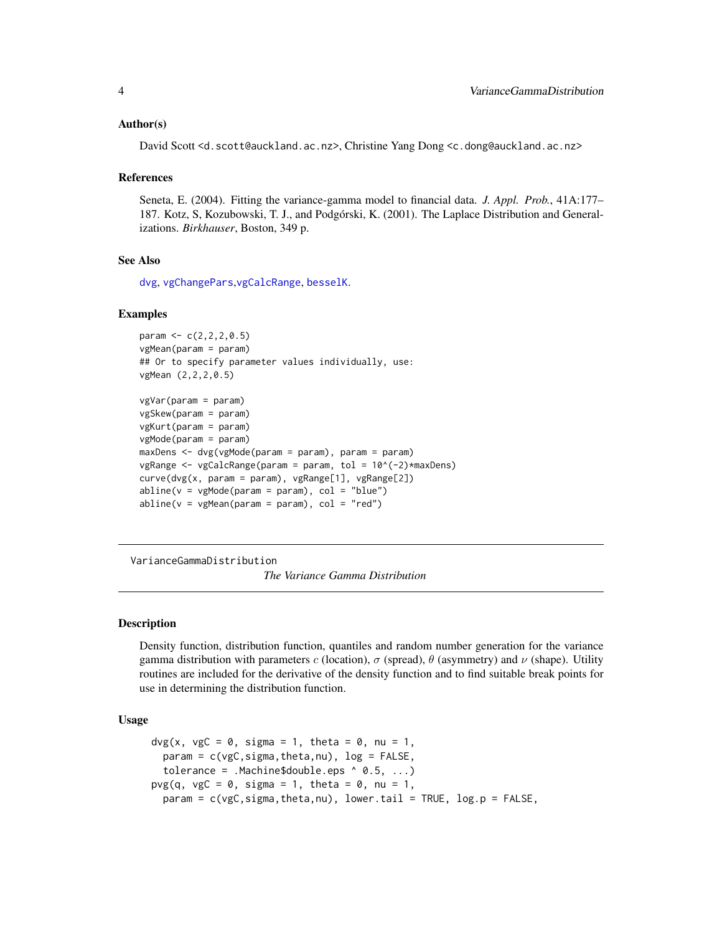#### <span id="page-3-0"></span>Author(s)

David Scott <d.scott@auckland.ac.nz>, Christine Yang Dong <c.dong@auckland.ac.nz>

#### References

Seneta, E. (2004). Fitting the variance-gamma model to financial data. *J. Appl. Prob.*, 41A:177– 187. Kotz, S, Kozubowski, T. J., and Podgórski, K. (2001). The Laplace Distribution and Generalizations. *Birkhauser*, Boston, 349 p.

# See Also

[dvg](#page-3-1), [vgChangePars](#page-12-1),[vgCalcRange](#page-10-1), [besselK](#page-0-0).

#### Examples

```
param <- c(2,2,2,0.5)
vgMean(param = param)
## Or to specify parameter values individually, use:
vgMean (2,2,2,0.5)
vgVar(param = param)
```

```
vgSkew(param = param)
vgKurt(param = param)
vgMode(param = param)
maxDens <- dvg(vgMode(param = param), param = param)
vgRange <- vgCalcRange(param = param, tol = 10^(-2)*maxDens)
curve(dvg(x, param = param), vgRange[1], vgRange[2])
abline(v = vgMode(param = param), col = "blue")abline(v = vghean(param = param), col = "red")
```
VarianceGammaDistribution

*The Variance Gamma Distribution*

# <span id="page-3-1"></span>**Description**

Density function, distribution function, quantiles and random number generation for the variance gamma distribution with parameters c (location),  $\sigma$  (spread),  $\theta$  (asymmetry) and  $\nu$  (shape). Utility routines are included for the derivative of the density function and to find suitable break points for use in determining the distribution function.

# Usage

```
dvg(x, vgc = 0, sigma = 1, theta = 0, nu = 1,param = c(vgc, sigma, theta, nu), log = FALSE,tolerance = .Machine$double.eps ^ 0.5, ...)
pvg(q, vgC = 0, sigma = 1, theta = 0, nu = 1,param = c(vgC,sigma,theta,nu), lower.tail = TRUE, log.p = FALSE,
```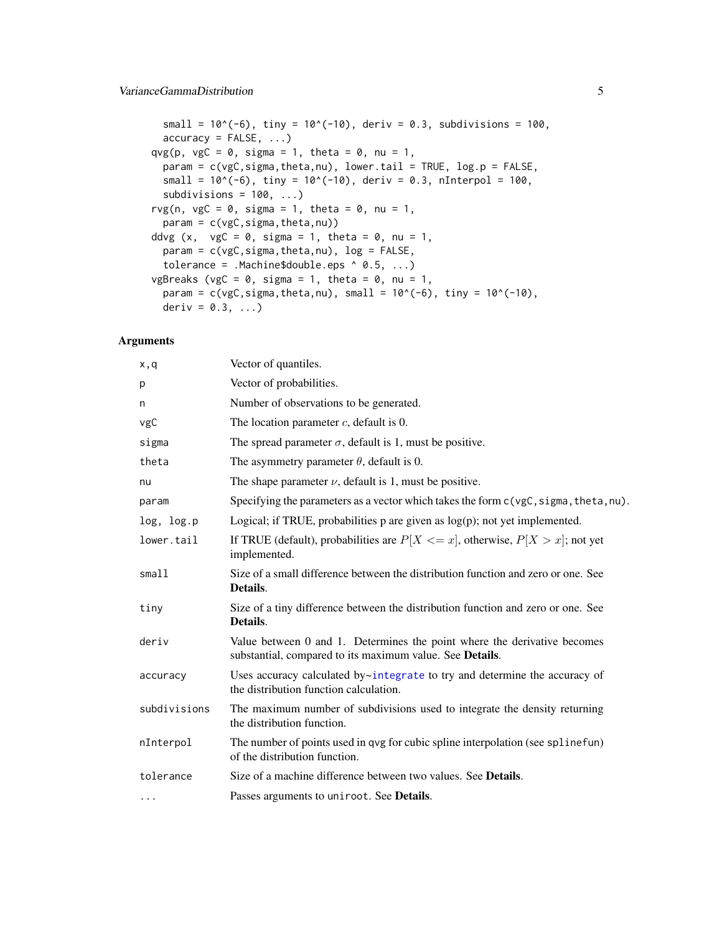<span id="page-4-0"></span>small =  $10^{\circ}(-6)$ , tiny =  $10^{\circ}(-10)$ , deriv = 0.3, subdivisions = 100,  $accuracy = FALSE, ...)$ qvg(p, vgC = 0, sigma = 1, theta = 0, nu = 1, param = c(vgC,sigma,theta,nu), lower.tail = TRUE, log.p = FALSE, small =  $10^*(-6)$ , tiny =  $10^*(-10)$ , deriv = 0.3, nInterpol = 100, subdivisions =  $100, ...$ ) rvg(n, vgC = 0, sigma = 1, theta = 0, nu = 1,  $param = c(vgc, sigma, theta, nu))$ ddvg  $(x, ygC = 0, sigma = 1, theta = 0, nu = 1,$ param = c(vgC,sigma,theta,nu), log = FALSE, tolerance = .Machine\$double.eps ^ 0.5, ...) vgBreaks (vgC =  $0$ , sigma = 1, theta =  $0$ , nu = 1, param =  $c(vgc,sigma,theta,nu)$ , small =  $10^*(-6)$ , tiny =  $10^*(-10)$ , deriv =  $0.3, ...$ )

# Arguments

| x,q          | Vector of quantiles.                                                                                                                 |
|--------------|--------------------------------------------------------------------------------------------------------------------------------------|
| p            | Vector of probabilities.                                                                                                             |
| n            | Number of observations to be generated.                                                                                              |
| vgC          | The location parameter $c$ , default is 0.                                                                                           |
| sigma        | The spread parameter $\sigma$ , default is 1, must be positive.                                                                      |
| theta        | The asymmetry parameter $\theta$ , default is 0.                                                                                     |
| nu           | The shape parameter $\nu$ , default is 1, must be positive.                                                                          |
| param        | Specifying the parameters as a vector which takes the form $c(\forall gC, \exists gma, \text{theta}, nu)$ .                          |
| log, log.p   | Logical; if TRUE, probabilities $p$ are given as $log(p)$ ; not yet implemented.                                                     |
| lower.tail   | If TRUE (default), probabilities are $P[X \leq x]$ , otherwise, $P[X > x]$ ; not yet<br>implemented.                                 |
| small1       | Size of a small difference between the distribution function and zero or one. See<br>Details.                                        |
| tiny         | Size of a tiny difference between the distribution function and zero or one. See<br>Details.                                         |
| deriv        | Value between 0 and 1. Determines the point where the derivative becomes<br>substantial, compared to its maximum value. See Details. |
| accuracy     | Uses accuracy calculated by $\sim$ integrate to try and determine the accuracy of<br>the distribution function calculation.          |
| subdivisions | The maximum number of subdivisions used to integrate the density returning<br>the distribution function.                             |
| nInterpol    | The number of points used in qvg for cubic spline interpolation (see spline fun)<br>of the distribution function.                    |
| tolerance    | Size of a machine difference between two values. See <b>Details</b> .                                                                |
| $\cdots$     | Passes arguments to uniroot. See Details.                                                                                            |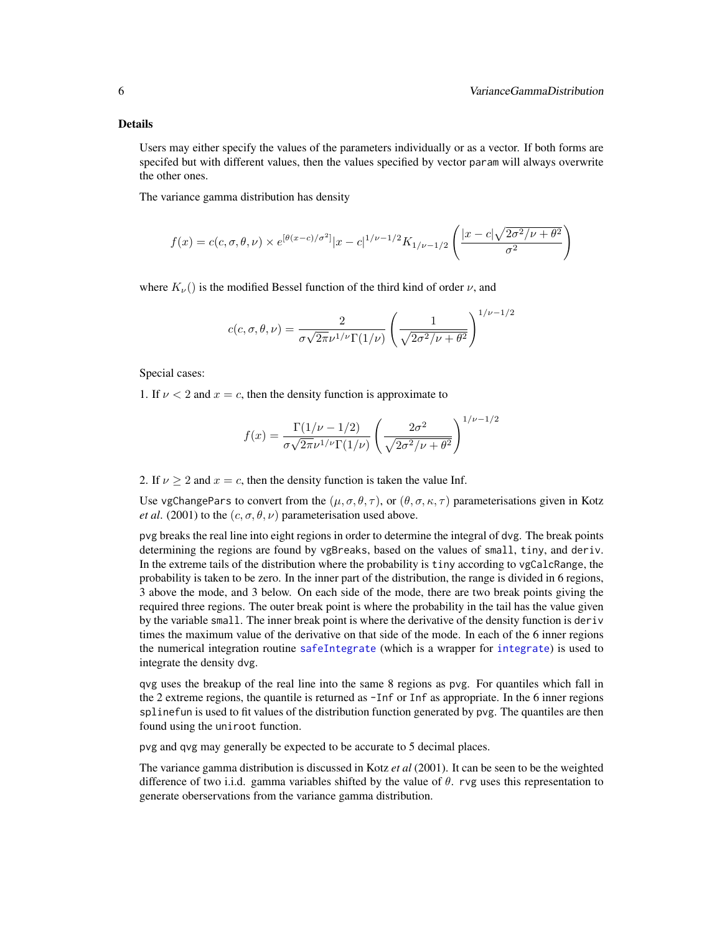#### <span id="page-5-0"></span>Details

Users may either specify the values of the parameters individually or as a vector. If both forms are specifed but with different values, then the values specified by vector param will always overwrite the other ones.

The variance gamma distribution has density

$$
f(x) = c(c, \sigma, \theta, \nu) \times e^{[\theta(x-c)/\sigma^2]} |x - c|^{1/\nu - 1/2} K_{1/\nu - 1/2} \left( \frac{|x - c|\sqrt{2\sigma^2/\nu + \theta^2}}{\sigma^2} \right)
$$

where  $K_{\nu}$ () is the modified Bessel function of the third kind of order  $\nu$ , and

$$
c(c, \sigma, \theta, \nu) = \frac{2}{\sigma \sqrt{2\pi} \nu^{1/\nu} \Gamma(1/\nu)} \left(\frac{1}{\sqrt{2\sigma^2/\nu + \theta^2}}\right)^{1/\nu - 1/2}
$$

Special cases:

1. If  $\nu < 2$  and  $x = c$ , then the density function is approximate to

$$
f(x) = \frac{\Gamma(1/\nu - 1/2)}{\sigma\sqrt{2\pi}\nu^{1/\nu}\Gamma(1/\nu)} \left(\frac{2\sigma^2}{\sqrt{2\sigma^2/\nu + \theta^2}}\right)^{1/\nu - 1/2}
$$

2. If  $\nu \geq 2$  and  $x = c$ , then the density function is taken the value Inf.

Use vgChangePars to convert from the  $(\mu, \sigma, \theta, \tau)$ , or  $(\theta, \sigma, \kappa, \tau)$  parameterisations given in Kotz *et al.* (2001) to the  $(c, \sigma, \theta, \nu)$  parameterisation used above.

pvg breaks the real line into eight regions in order to determine the integral of dvg. The break points determining the regions are found by vgBreaks, based on the values of small, tiny, and deriv. In the extreme tails of the distribution where the probability is tiny according to vgCalcRange, the probability is taken to be zero. In the inner part of the distribution, the range is divided in 6 regions, 3 above the mode, and 3 below. On each side of the mode, there are two break points giving the required three regions. The outer break point is where the probability in the tail has the value given by the variable small. The inner break point is where the derivative of the density function is deriv times the maximum value of the derivative on that side of the mode. In each of the 6 inner regions the numerical integration routine [safeIntegrate](#page-0-0) (which is a wrapper for [integrate](#page-0-0)) is used to integrate the density dvg.

qvg uses the breakup of the real line into the same 8 regions as pvg. For quantiles which fall in the 2 extreme regions, the quantile is returned as -Inf or Inf as appropriate. In the 6 inner regions splinefun is used to fit values of the distribution function generated by pvg. The quantiles are then found using the uniroot function.

pvg and qvg may generally be expected to be accurate to 5 decimal places.

The variance gamma distribution is discussed in Kotz *et al* (2001). It can be seen to be the weighted difference of two i.i.d. gamma variables shifted by the value of  $\theta$ . rvg uses this representation to generate oberservations from the variance gamma distribution.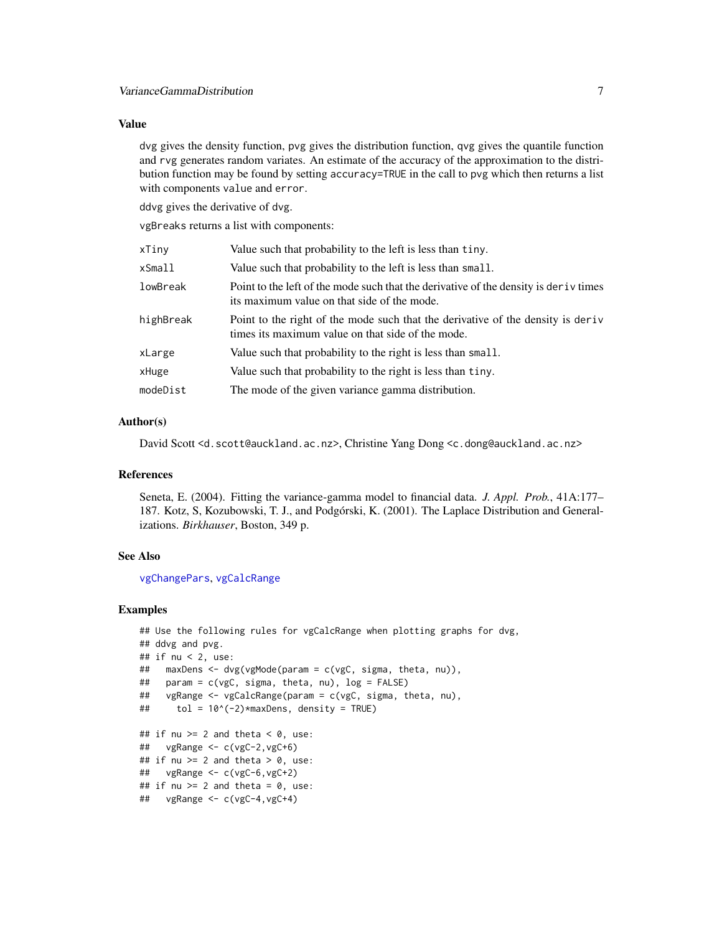# <span id="page-6-0"></span>Value

dvg gives the density function, pvg gives the distribution function, qvg gives the quantile function and rvg generates random variates. An estimate of the accuracy of the approximation to the distribution function may be found by setting accuracy=TRUE in the call to pvg which then returns a list with components value and error.

ddvg gives the derivative of dvg.

vgBreaks returns a list with components:

| xTiny     | Value such that probability to the left is less than tiny.                                                                            |
|-----------|---------------------------------------------------------------------------------------------------------------------------------------|
| xSmall    | Value such that probability to the left is less than small.                                                                           |
| lowBreak  | Point to the left of the mode such that the derivative of the density is deriv times<br>its maximum value on that side of the mode.   |
| highBreak | Point to the right of the mode such that the derivative of the density is derive<br>times its maximum value on that side of the mode. |
| xLarge    | Value such that probability to the right is less than small.                                                                          |
| xHuge     | Value such that probability to the right is less than tiny.                                                                           |
| modeDist  | The mode of the given variance gamma distribution.                                                                                    |
|           |                                                                                                                                       |

# Author(s)

David Scott <d.scott@auckland.ac.nz>, Christine Yang Dong <c.dong@auckland.ac.nz>

# References

Seneta, E. (2004). Fitting the variance-gamma model to financial data. *J. Appl. Prob.*, 41A:177– 187. Kotz, S, Kozubowski, T. J., and Podgórski, K. (2001). The Laplace Distribution and Generalizations. *Birkhauser*, Boston, 349 p.

# See Also

[vgChangePars](#page-12-1), [vgCalcRange](#page-10-1)

```
## Use the following rules for vgCalcRange when plotting graphs for dvg,
## ddvg and pvg.
## if nu < 2, use:
## maxDens <- dvg(vgMode(param = c(vgC, sigma, theta, nu)),
## param = c(vgC, sigma, theta, nu), log = FALSE)
## vgRange <- vgCalcRange(param = c(vgC, sigma, theta, nu),
\# tol = 10^(-2)*maxDens, density = TRUE)
## if nu >= 2 and theta < 0, use:
## vgRange <- c(vgC-2,vgC+6)
## if nu >= 2 and theta > 0, use:
## vgRange <- c(vgC-6,vgC+2)
## if nu >= 2 and theta = 0, use:
## vgRange <- c(vgC-4,vgC+4)
```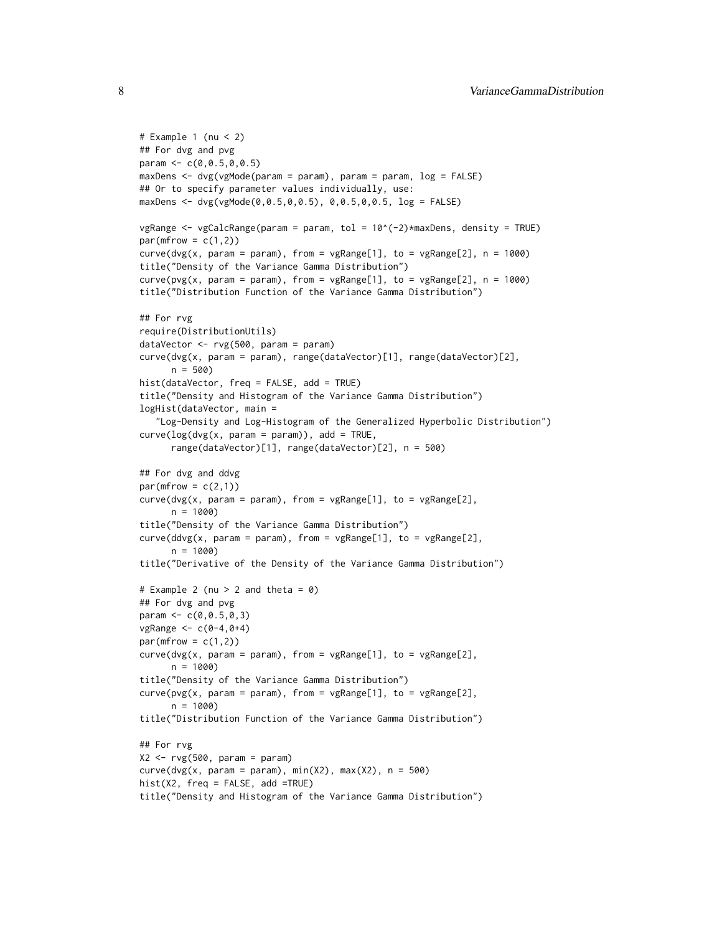```
# Example 1 (nu < 2)
## For dvg and pvg
param <- c(0,0.5,0,0.5)
maxDens <- dvg(vgMode(param = param), param = param, log = FALSE)
## Or to specify parameter values individually, use:
maxDens <- dvg(vgMode(0,0.5,0,0.5), 0,0.5,0,0.5, log = FALSE)
vgRange <- vgCalcRange(param = param, tol = 10^(-2)*maxDens, density = TRUE)
par(mfrow = c(1,2))curve(dvg(x, param = param), from = vgRange[1], to = vgRange[2], n = 1000)
title("Density of the Variance Gamma Distribution")
curve(pvg(x, param = param), from = vgRange[1], to = vgRange[2], n = 1000)
title("Distribution Function of the Variance Gamma Distribution")
## For rvg
require(DistributionUtils)
dataVector <- rvg(500, param = param)
curve(dvg(x, param = param), range(dataVector)[1], range(dataVector)[2],
      n = 500hist(dataVector, freq = FALSE, add = TRUE)
title("Density and Histogram of the Variance Gamma Distribution")
logHist(dataVector, main =
   "Log-Density and Log-Histogram of the Generalized Hyperbolic Distribution")
curve(log(dvg(x, param = param)), add = TRUE,range(dataVector)[1], range(dataVector)[2], n = 500)
## For dvg and ddvg
par(mfrow = c(2,1))curve(dvg(x, param = param), from = vgRange[1], to = vgRange[2],n = 1000title("Density of the Variance Gamma Distribution")
curve(ddg(x, param = param), from = vgRange[1], to = vgRange[2],
     n = 1000title("Derivative of the Density of the Variance Gamma Distribution")
# Example 2 (nu > 2 and theta = 0)
## For dvg and pvg
param <- c(0,0.5,0,3)
vgRange \leq C(0-4, 0+4)par(mfrow = c(1,2))curve(dvg(x, param = param), from = vgRange[1], to = vgRange[2],n = 1000title("Density of the Variance Gamma Distribution")
curve(pvg(x, param = param), from = vgRange[1], to = vgRange[2],n = 1000title("Distribution Function of the Variance Gamma Distribution")
## For rvg
X2 \leq -ryg(500, param = param)curve(dvg(x, param = param), min(X2), max(X2), n = 500)hist(X2, freq = FALSE, add =TRUE)
title("Density and Histogram of the Variance Gamma Distribution")
```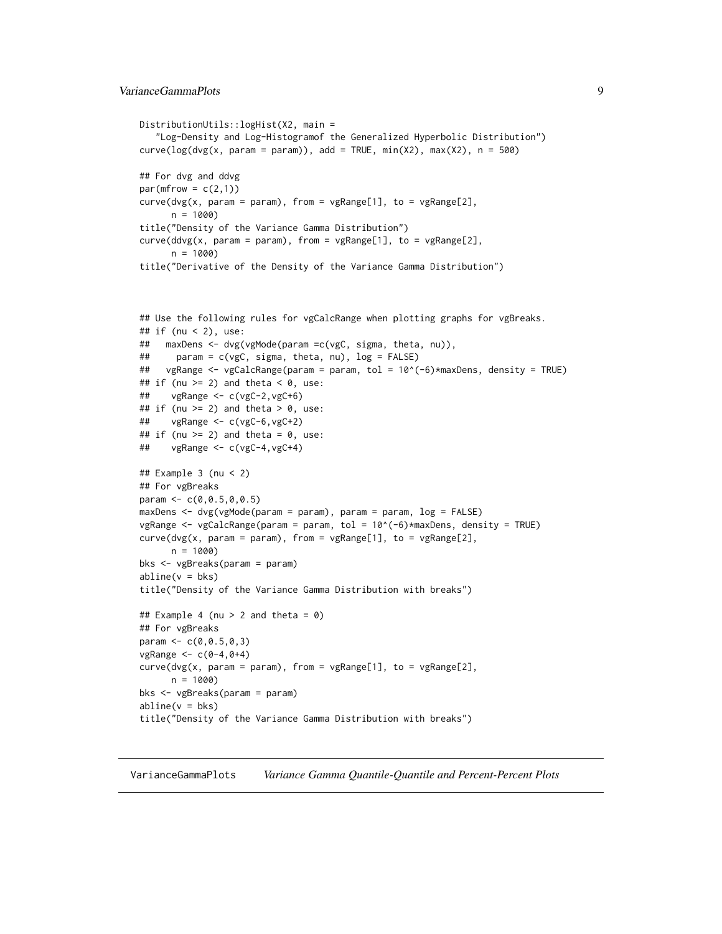```
DistributionUtils::logHist(X2, main =
   "Log-Density and Log-Histogramof the Generalized Hyperbolic Distribution")
curve(log(dvg(x, param = param)), add = TRUE, min(X2), max(X2), n = 500)## For dvg and ddvg
par(mfrow = c(2,1))curve(dvg(x, param = param), from = vgRange[1], to = vgRange[2],n = 1000title("Density of the Variance Gamma Distribution")
curve(ddvg(x, param = param), from = vgRange[1], to = vgRange[2],
      n = 1000)
title("Derivative of the Density of the Variance Gamma Distribution")
```

```
## Use the following rules for vgCalcRange when plotting graphs for vgBreaks.
## if (nu < 2), use:
## maxDens <- dvg(vgMode(param =c(vgC, sigma, theta, nu)),
## param = c(vgC, sigma, theta, nu), log = FALSE)
## vgRange <- vgCalcRange(param = param, tol = 10^(-6)*maxDens, density = TRUE)
## if (nu >= 2) and theta < 0, use:
## vgRange <- c(vgC-2,vgC+6)
## if (nu >= 2) and theta > 0, use:
## vgRange <- c(vgC-6,vgC+2)
## if (nu >= 2) and theta = 0, use:
## vgRange <- c(vgC-4,vgC+4)
## Example 3 (nu < 2)
## For vgBreaks
param <- c(0,0.5,0,0.5)
maxDens <- dvg(vgMode(param = param), param = param, log = FALSE)
vgRange <- vgCalcRange(param = param, tol = 10^(-6)*maxDens, density = TRUE)
curve(dvg(x, param = param), from = vgRange[1], to = vgRange[2],n = 1000bks <- vgBreaks(param = param)
abline(v = bks)title("Density of the Variance Gamma Distribution with breaks")
## Example 4 (nu > 2 and theta = 0)
## For vgBreaks
param <-c(0, 0.5, 0, 3)vgRange <- c(0-4,0+4)
curve(dvg(x, param = param), from = vgRange[1], to = vgRange[2],n = 1000)
bks <- vgBreaks(param = param)
abline(v = bks)title("Density of the Variance Gamma Distribution with breaks")
```
<span id="page-8-1"></span>VarianceGammaPlots *Variance Gamma Quantile-Quantile and Percent-Percent Plots*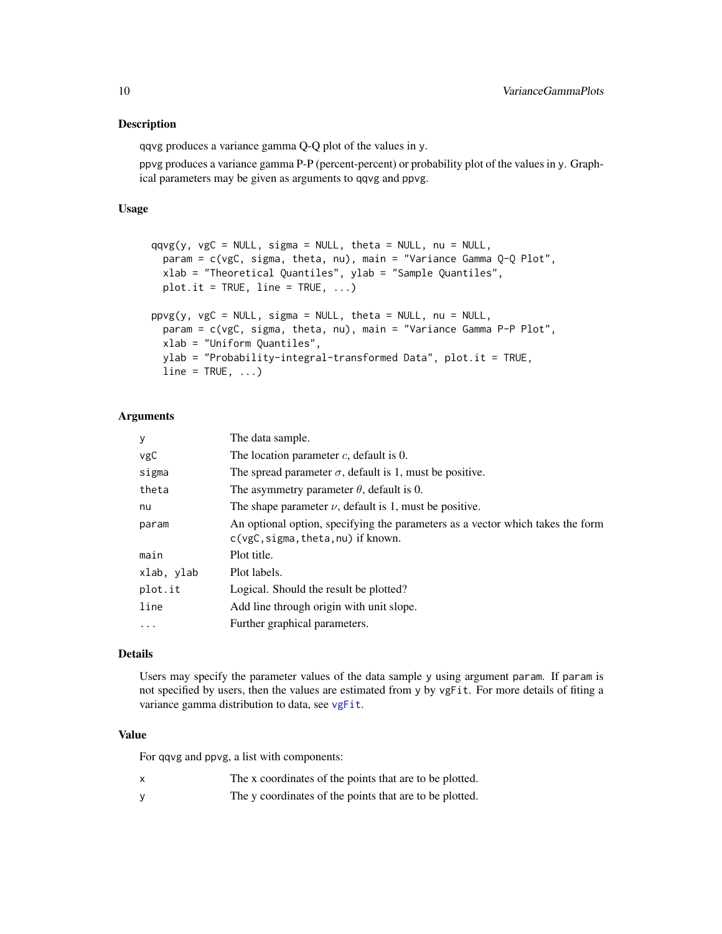#### <span id="page-9-0"></span>Description

qqvg produces a variance gamma Q-Q plot of the values in y.

ppvg produces a variance gamma P-P (percent-percent) or probability plot of the values in y. Graphical parameters may be given as arguments to qqvg and ppvg.

# Usage

```
qqvg(y, vgC = NULL, sigma = NULL, theta = NULL, nu = NULL,param = c(vgC, sigma, theta, nu), main = "Variance Gamma Q-Q Plot",
 xlab = "Theoretical Quantiles", ylab = "Sample Quantiles",
 plot.it = TRUE, line = TRUE, ...)ppyg(y, vgC = NULL, sigma = NULL, theta = NULL, nu = NULL,param = c(vgC, sigma, theta, nu), main = "Variance Gamma P-P Plot",
 xlab = "Uniform Quantiles",
 ylab = "Probability-integral-transformed Data", plot.it = TRUE,
 line = TRUE, ...
```
# Arguments

| The data sample.                                                                                                       |
|------------------------------------------------------------------------------------------------------------------------|
| The location parameter $c$ , default is 0.                                                                             |
| The spread parameter $\sigma$ , default is 1, must be positive.                                                        |
| The asymmetry parameter $\theta$ , default is 0.                                                                       |
| The shape parameter $\nu$ , default is 1, must be positive.                                                            |
| An optional option, specifying the parameters as a vector which takes the form<br>$c(vgc, sigma, theta, nu)$ if known. |
| Plot title.                                                                                                            |
| Plot labels.                                                                                                           |
| Logical. Should the result be plotted?                                                                                 |
| Add line through origin with unit slope.                                                                               |
| Further graphical parameters.                                                                                          |
|                                                                                                                        |

# Details

Users may specify the parameter values of the data sample y using argument param. If param is not specified by users, then the values are estimated from y by vgFit. For more details of fiting a variance gamma distribution to data, see [vgFit](#page-15-1).

#### Value

For qqvg and ppvg, a list with components:

- x The x coordinates of the points that are to be plotted.
- y The y coordinates of the points that are to be plotted.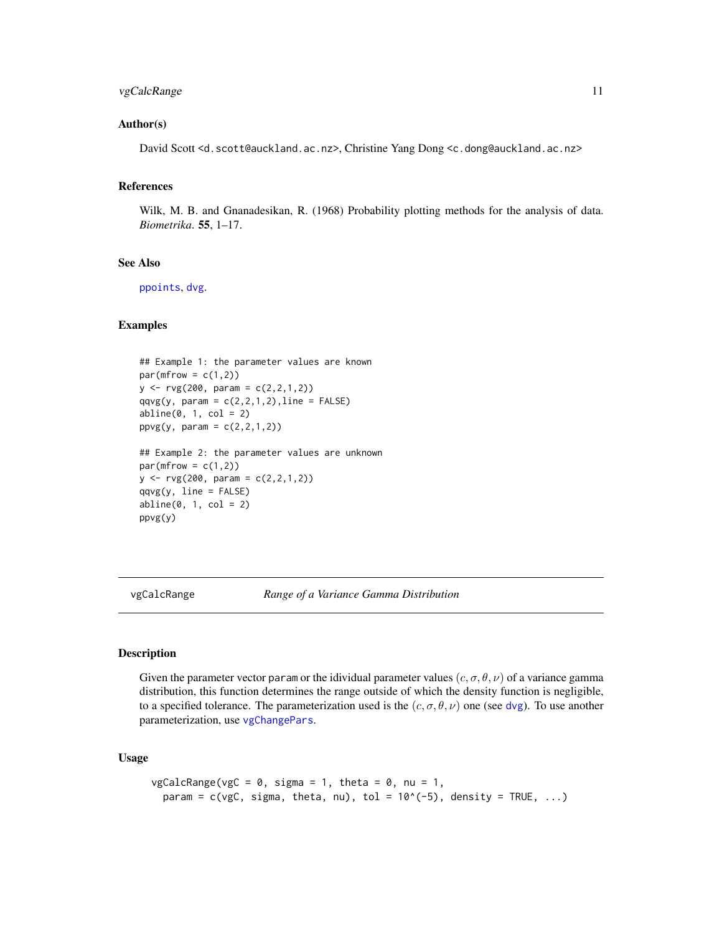# <span id="page-10-0"></span>vgCalcRange 11

# Author(s)

David Scott <d.scott@auckland.ac.nz>, Christine Yang Dong <c.dong@auckland.ac.nz>

#### References

Wilk, M. B. and Gnanadesikan, R. (1968) Probability plotting methods for the analysis of data. *Biometrika*. 55, 1–17.

#### See Also

[ppoints](#page-0-0), [dvg](#page-3-1).

# Examples

```
## Example 1: the parameter values are known
par(mfrow = c(1,2))y \le -ry(200, \text{param} = c(2,2,1,2))qqvg(y, param = c(2,2,1,2), line = FALSE)abline(0, 1, col = 2)ppyg(y, param = c(2, 2, 1, 2))## Example 2: the parameter values are unknown
par(mfrow = c(1,2))y \le -ry(200, \text{param} = c(2, 2, 1, 2))qqvg(y, line = FALSE)abline(0, 1, col = 2)
```
ppvg(y)

<span id="page-10-1"></span>vgCalcRange *Range of a Variance Gamma Distribution*

#### Description

Given the parameter vector param or the idividual parameter values  $(c, \sigma, \theta, \nu)$  of a variance gamma distribution, this function determines the range outside of which the density function is negligible, to a specified tolerance. The parameterization used is the  $(c, \sigma, \theta, \nu)$  one (see [dvg](#page-3-1)). To use another parameterization, use [vgChangePars](#page-12-1).

# Usage

```
vgCalcRange(vgC = 0, sigma = 1, theta = 0, nu = 1,param = c(vgc, sigma, theta, nu), tol = 10<sup>o</sup>(-5), density = TRUE, ...)
```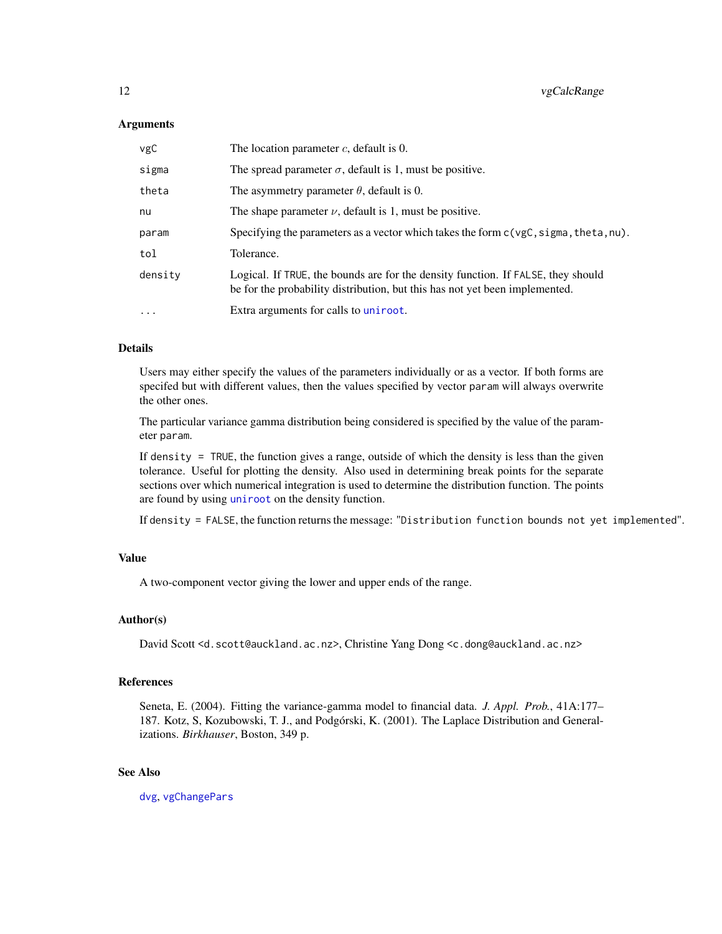# <span id="page-11-0"></span>**Arguments**

| vgC      | The location parameter $c$ , default is 0.                                                                                                                      |
|----------|-----------------------------------------------------------------------------------------------------------------------------------------------------------------|
| sigma    | The spread parameter $\sigma$ , default is 1, must be positive.                                                                                                 |
| theta    | The asymmetry parameter $\theta$ , default is 0.                                                                                                                |
| nu       | The shape parameter $\nu$ , default is 1, must be positive.                                                                                                     |
| param    | Specifying the parameters as a vector which takes the form $c(\forall gC, \exists gma, \text{theta}, nu)$ .                                                     |
| tol      | Tolerance.                                                                                                                                                      |
| density  | Logical. If TRUE, the bounds are for the density function. If FALSE, they should<br>be for the probability distribution, but this has not yet been implemented. |
| $\cdots$ | Extra arguments for calls to uniroot.                                                                                                                           |

#### Details

Users may either specify the values of the parameters individually or as a vector. If both forms are specifed but with different values, then the values specified by vector param will always overwrite the other ones.

The particular variance gamma distribution being considered is specified by the value of the parameter param.

If density = TRUE, the function gives a range, outside of which the density is less than the given tolerance. Useful for plotting the density. Also used in determining break points for the separate sections over which numerical integration is used to determine the distribution function. The points are found by using [uniroot](#page-0-0) on the density function.

If density = FALSE, the function returns the message: "Distribution function bounds not yet implemented".

# Value

A two-component vector giving the lower and upper ends of the range.

# Author(s)

David Scott <d.scott@auckland.ac.nz>, Christine Yang Dong <c.dong@auckland.ac.nz>

# References

Seneta, E. (2004). Fitting the variance-gamma model to financial data. *J. Appl. Prob.*, 41A:177– 187. Kotz, S, Kozubowski, T. J., and Podgórski, K. (2001). The Laplace Distribution and Generalizations. *Birkhauser*, Boston, 349 p.

# See Also

[dvg](#page-3-1), [vgChangePars](#page-12-1)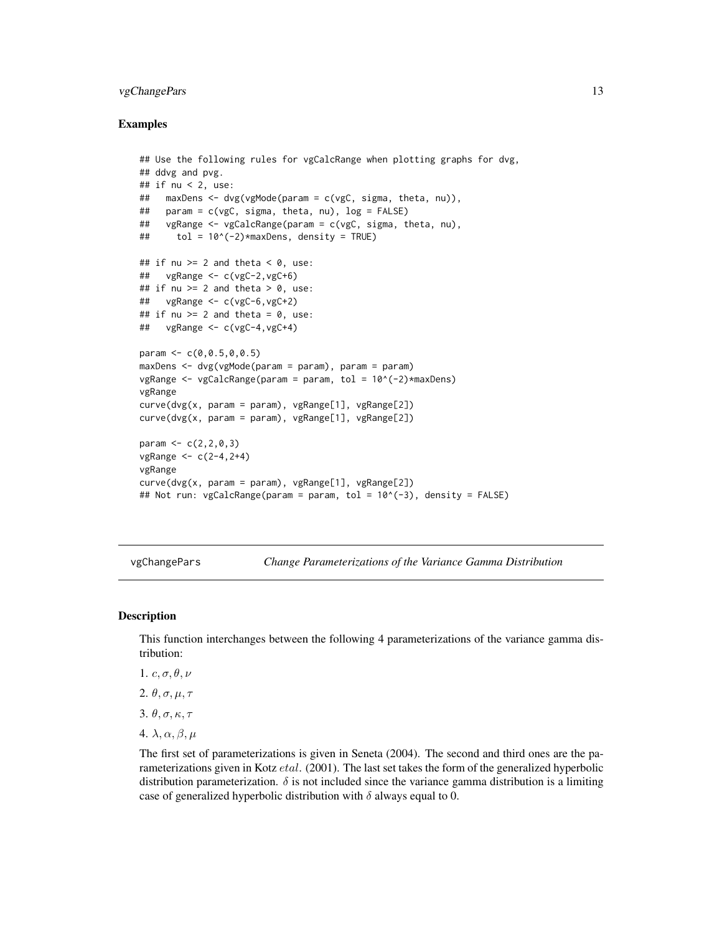# <span id="page-12-0"></span>vgChangePars 13

# Examples

```
## Use the following rules for vgCalcRange when plotting graphs for dvg,
## ddvg and pvg.
## if nu < 2, use:
## maxDens <- dvg(vgMode(param = c(vgC, sigma, theta, nu)),
## param = c(vgC, sigma, theta, nu), log = FALSE)
## vgRange <- vgCalcRange(param = c(vgC, sigma, theta, nu),
## tol = 10^(-2)*maxDens, density = TRUE)
## if nu >= 2 and theta < 0, use:
## vgRange <- c(vgC-2,vgC+6)
## if nu >= 2 and theta > 0, use:
## vgRange <- c(vgC-6,vgC+2)
## if nu >= 2 and theta = 0, use:
\# vgRange <- c(vgC-4, vgC+4)
param <- c(0,0.5,0,0.5)
maxDens < - dvg(vgMode(param = param), param = param)
vgRange \leq vgCalcRange(param = param, tol = 10^(-2)*maxDens)
vgRange
curve(dvg(x, param = param), vgRange[1], vgRange[2])
curve(dvg(x, param = param), vgRange[1], vgRange[2])
param <-c(2, 2, 0, 3)vgRange <- c(2-4,2+4)
vgRange
curve(dvg(x, param = param), vgRange[1], vgRange[2])## Not run: vgCalcRange(param = param, tol = 10^(-3), density = FALSE)
```
<span id="page-12-1"></span>vgChangePars *Change Parameterizations of the Variance Gamma Distribution*

#### Description

This function interchanges between the following 4 parameterizations of the variance gamma distribution:

- 1.  $c, \sigma, \theta, \nu$
- 2.  $\theta$ ,  $\sigma$ ,  $\mu$ ,  $\tau$
- 3.  $\theta$ ,  $\sigma$ ,  $\kappa$ ,  $\tau$
- 4.  $\lambda, \alpha, \beta, \mu$

The first set of parameterizations is given in Seneta (2004). The second and third ones are the parameterizations given in Kotz *etal.* (2001). The last set takes the form of the generalized hyperbolic distribution parameterization.  $\delta$  is not included since the variance gamma distribution is a limiting case of generalized hyperbolic distribution with  $\delta$  always equal to 0.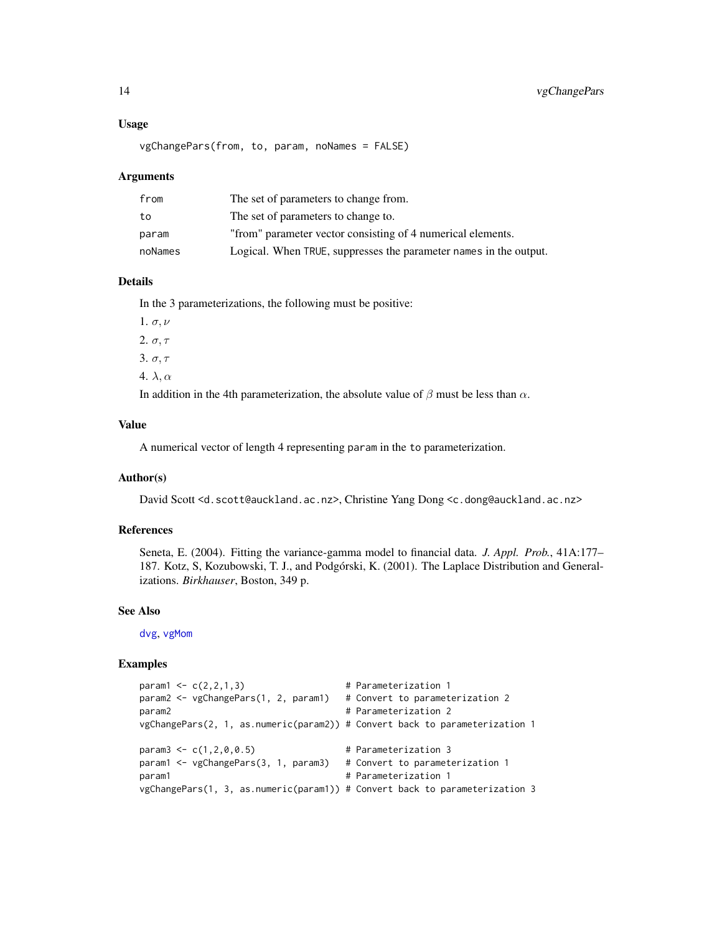#### Usage

```
vgChangePars(from, to, param, noNames = FALSE)
```
#### Arguments

| from    | The set of parameters to change from.                             |
|---------|-------------------------------------------------------------------|
| to      | The set of parameters to change to.                               |
| param   | "from" parameter vector consisting of 4 numerical elements.       |
| noNames | Logical. When TRUE, suppresses the parameter names in the output. |

# Details

In the 3 parameterizations, the following must be positive:

1.  $\sigma, \nu$ 2.  $\sigma, \tau$ 

3. σ, τ

4.  $\lambda, \alpha$ 

In addition in the 4th parameterization, the absolute value of  $\beta$  must be less than  $\alpha$ .

#### Value

A numerical vector of length 4 representing param in the to parameterization.

#### Author(s)

David Scott <d.scott@auckland.ac.nz>, Christine Yang Dong <c.dong@auckland.ac.nz>

# References

Seneta, E. (2004). Fitting the variance-gamma model to financial data. *J. Appl. Prob.*, 41A:177– 187. Kotz, S, Kozubowski, T. J., and Podgórski, K. (2001). The Laplace Distribution and Generalizations. *Birkhauser*, Boston, 349 p.

# See Also

[dvg](#page-3-1), [vgMom](#page-19-1)

```
param1 \leq c(2,2,1,3) # Parameterization 1
param2 <- vgChangePars(1, 2, param1) # Convert to parameterization 2
param2 # Parameterization 2
vgChangePars(2, 1, as.numeric(param2)) # Convert back to parameterization 1
param3 \leq c(1, 2, 0, 0.5) # Parameterization 3
param1 <- vgChangePars(3, 1, param3) # Convert to parameterization 1
param1 A \uparrow # Parameterization 1
vgChangePars(1, 3, as.numeric(param1)) # Convert back to parameterization 3
```
<span id="page-13-0"></span>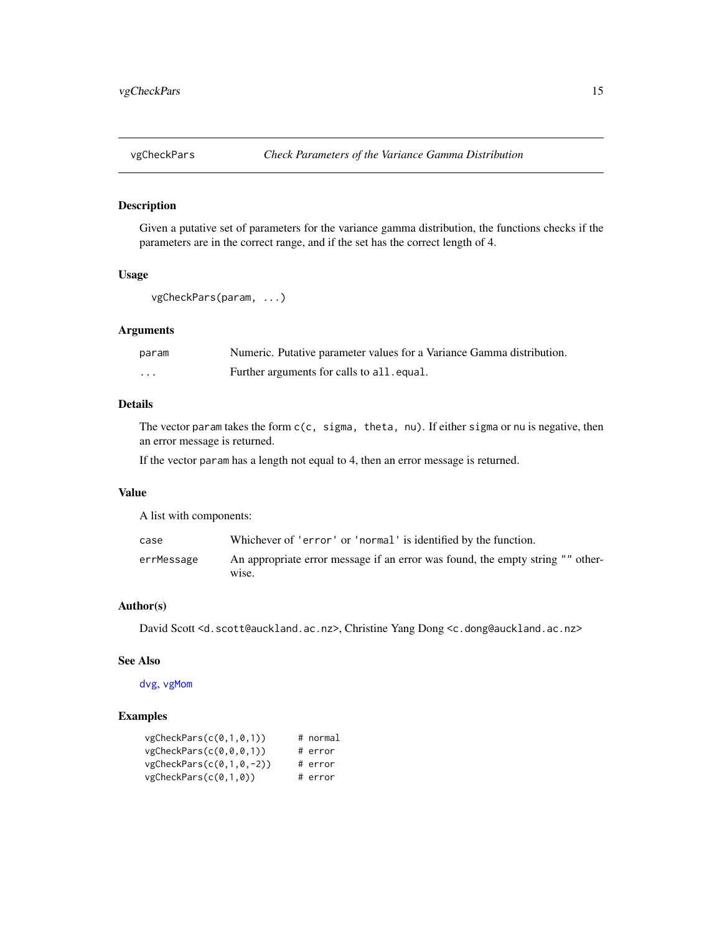<span id="page-14-1"></span><span id="page-14-0"></span>

# Description

Given a putative set of parameters for the variance gamma distribution, the functions checks if the parameters are in the correct range, and if the set has the correct length of 4.

# Usage

```
vgCheckPars(param, ...)
```
# Arguments

| param    | Numeric. Putative parameter values for a Variance Gamma distribution. |
|----------|-----------------------------------------------------------------------|
| $\cdots$ | Further arguments for calls to all. equal.                            |

# Details

The vector param takes the form c(c, sigma, theta, nu). If either sigma or nu is negative, then an error message is returned.

If the vector param has a length not equal to 4, then an error message is returned.

# Value

A list with components:

| case       | Whichever of 'error' or 'normal' is identified by the function.                         |
|------------|-----------------------------------------------------------------------------------------|
| errMessage | An appropriate error message if an error was found, the empty string "" other-<br>wise. |

# Author(s)

David Scott <d.scott@auckland.ac.nz>, Christine Yang Dong <c.dong@auckland.ac.nz>

# See Also

[dvg](#page-3-1), [vgMom](#page-19-1)

| vgCheckParts(c(0,1,0,1))    | # normal |
|-----------------------------|----------|
| vgCheckParts(c(0, 0, 0, 1)) | # error  |
| $vgCheckParts(c(0,1,0,-2))$ | # error  |
| vgCheckParts(c(0,1,0))      | # error  |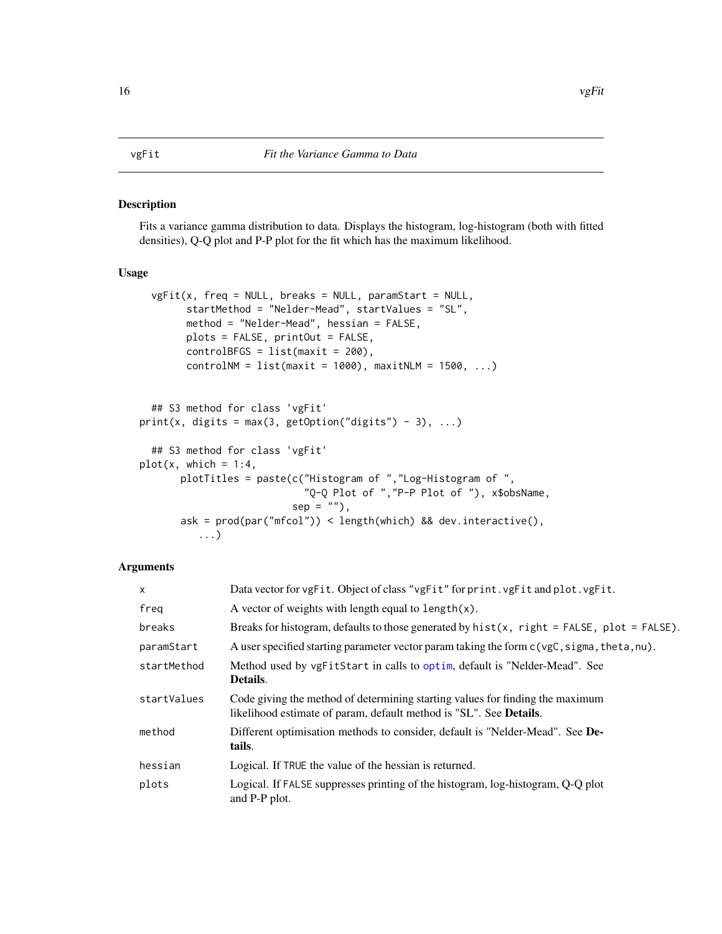#### <span id="page-15-2"></span><span id="page-15-1"></span><span id="page-15-0"></span>Description

Fits a variance gamma distribution to data. Displays the histogram, log-histogram (both with fitted densities), Q-Q plot and P-P plot for the fit which has the maximum likelihood.

# Usage

```
vgFit(x, freq = NULL, breaks = NULL, paramStart = NULL,startMethod = "Nelder-Mead", startValues = "SL",
       method = "Nelder-Mead", hessian = FALSE,
       plots = FALSE, printOut = FALSE,
       controlBFGS = list(maxit = 200),
       controlNM = list(maxit = 1000), maxitNLM = 1500, ...)
 ## S3 method for class 'vgFit'
print(x, digits = max(3, getOption("digits") - 3), ...)
 ## S3 method for class 'vgFit'
plot(x, which = 1:4,plotTitles = paste(c("Histogram of ","Log-Histogram of ",
                            "Q-Q Plot of ","P-P Plot of "), x$obsName,
                          sep = ""),
      ask = prod(par("mfcol")) < length(which) && dev.interactive(),
```
# Arguments

...)

| $\mathsf{x}$ | Data vector for vgFit. Object of class "vgFit" for print.vgFit and plot.vgFit.                                                                      |
|--------------|-----------------------------------------------------------------------------------------------------------------------------------------------------|
| freg         | A vector of weights with length equal to length $(x)$ .                                                                                             |
| breaks       | Breaks for histogram, defaults to those generated by $hist(x, right = FALSE, plot = FALSE)$ .                                                       |
| paramStart   | A user specified starting parameter vector param taking the form $c(ygC, sigma, theta, nu)$ .                                                       |
| startMethod  | Method used by vgFitStart in calls to optim, default is "Nelder-Mead". See<br>Details.                                                              |
| startValues  | Code giving the method of determining starting values for finding the maximum<br>likelihood estimate of param, default method is "SL". See Details. |
| method       | Different optimisation methods to consider, default is "Nelder-Mead". See De-<br>tails.                                                             |
| hessian      | Logical. If TRUE the value of the hessian is returned.                                                                                              |
| plots        | Logical. If FALSE suppresses printing of the histogram, log-histogram, Q-Q plot<br>and P-P plot.                                                    |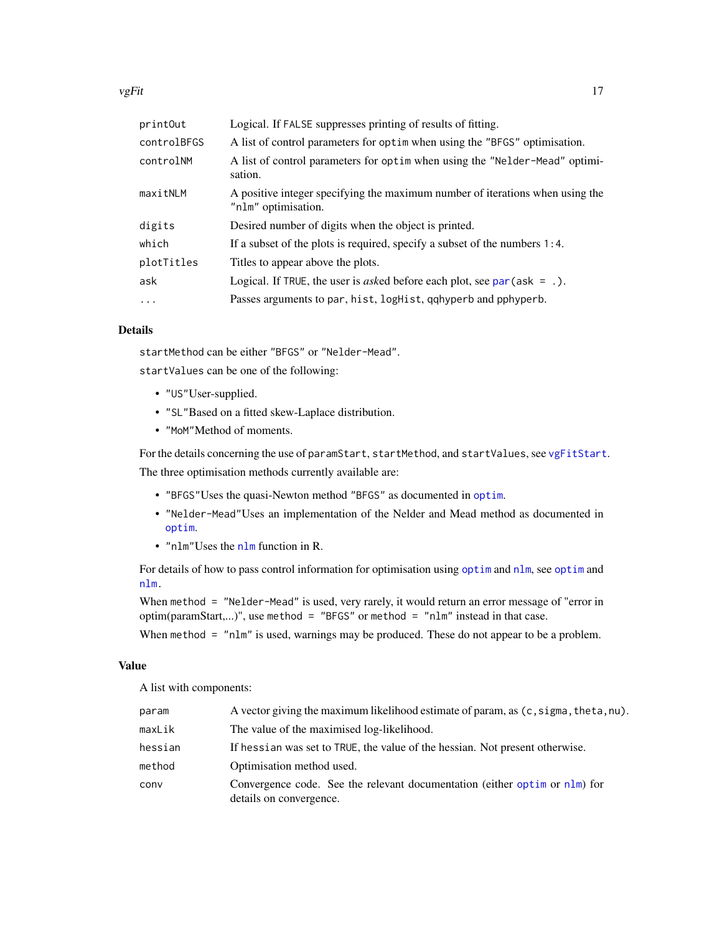<span id="page-16-0"></span>

| printOut    | Logical. If FALSE suppresses printing of results of fitting.                                         |
|-------------|------------------------------------------------------------------------------------------------------|
| controlBFGS | A list of control parameters for optim when using the "BFGS" optimisation.                           |
| controlNM   | A list of control parameters for optim when using the "Nelder-Mead" optimi-<br>sation.               |
| maxitNLM    | A positive integer specifying the maximum number of iterations when using the<br>"nlm" optimisation. |
| digits      | Desired number of digits when the object is printed.                                                 |
| which       | If a subset of the plots is required, specify a subset of the numbers $1:4$ .                        |
| plotTitles  | Titles to appear above the plots.                                                                    |
| ask         | Logical. If TRUE, the user is <i>asked</i> before each plot, see $par(ask = .)$ .                    |
| $\ddots$ .  | Passes arguments to par, hist, logHist, qqhyperb and pphyperb.                                       |
|             |                                                                                                      |

# Details

startMethod can be either "BFGS" or "Nelder-Mead".

startValues can be one of the following:

- "US"User-supplied.
- "SL"Based on a fitted skew-Laplace distribution.
- "MoM"Method of moments.

For the details concerning the use of paramStart, startMethod, and startValues, see [vgFitStart](#page-18-1). The three optimisation methods currently available are:

- "BFGS"Uses the quasi-Newton method "BFGS" as documented in [optim](#page-0-0).
- "Nelder-Mead"Uses an implementation of the Nelder and Mead method as documented in [optim](#page-0-0).
- "nlm"Uses the [nlm](#page-0-0) function in R.

For details of how to pass control information for optimisation using [optim](#page-0-0) and [nlm](#page-0-0), see [optim](#page-0-0) and [nlm.](#page-0-0)

When method = "Nelder-Mead" is used, very rarely, it would return an error message of "error in optim(paramStart,...)", use method = "BFGS" or method = "nlm" instead in that case.

When method = "nlm" is used, warnings may be produced. These do not appear to be a problem.

# Value

A list with components:

| param   | A vector giving the maximum likelihood estimate of param, as (c, sigma, theta, nu).                              |
|---------|------------------------------------------------------------------------------------------------------------------|
| maxLik  | The value of the maximised log-likelihood.                                                                       |
| hessian | If hessian was set to TRUE, the value of the hessian. Not present otherwise.                                     |
| method  | Optimisation method used.                                                                                        |
| conv    | Convergence code. See the relevant documentation (either optim or $n \text{Im}$ ) for<br>details on convergence. |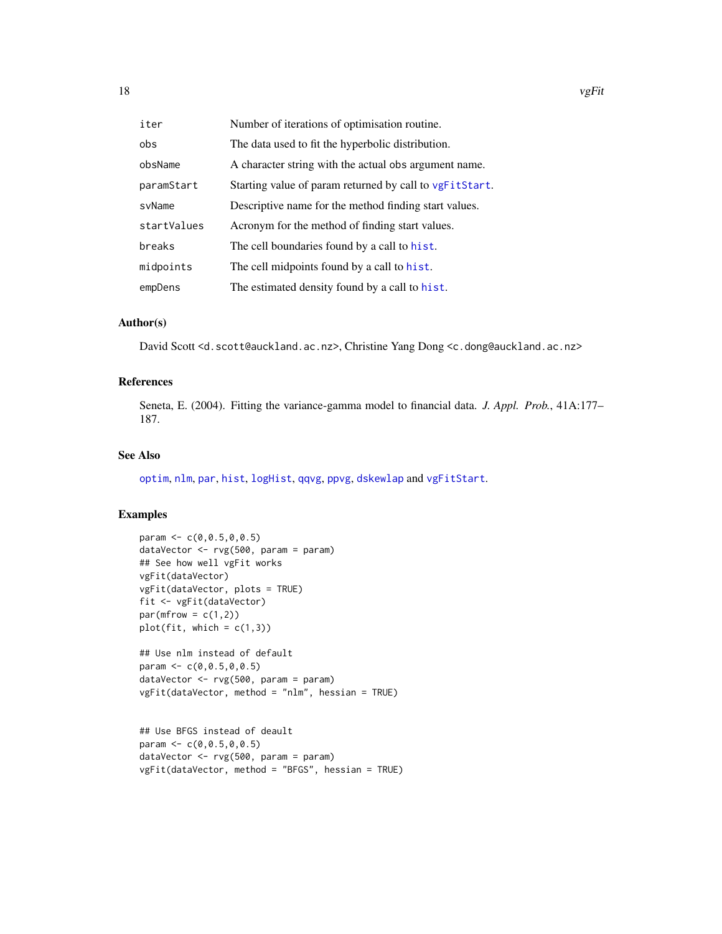<span id="page-17-0"></span>

| iter        | Number of iterations of optimisation routine.           |
|-------------|---------------------------------------------------------|
| obs         | The data used to fit the hyperbolic distribution.       |
| obsName     | A character string with the actual obs argument name.   |
| paramStart  | Starting value of param returned by call to vgFitStart. |
| svName      | Descriptive name for the method finding start values.   |
| startValues | Acronym for the method of finding start values.         |
| breaks      | The cell boundaries found by a call to hist.            |
| midpoints   | The cell midpoints found by a call to hist.             |
| empDens     | The estimated density found by a call to hist.          |

## Author(s)

David Scott <d.scott@auckland.ac.nz>, Christine Yang Dong <c.dong@auckland.ac.nz>

# References

Seneta, E. (2004). Fitting the variance-gamma model to financial data. *J. Appl. Prob.*, 41A:177– 187.

# See Also

[optim](#page-0-0), [nlm](#page-0-0), [par](#page-0-0), [hist](#page-0-0), [logHist](#page-0-0), [qqvg](#page-8-1), [ppvg](#page-8-1), [dskewlap](#page-0-0) and [vgFitStart](#page-18-1).

```
param <- c(0,0.5,0,0.5)
dataVector <- rvg(500, param = param)
## See how well vgFit works
vgFit(dataVector)
vgFit(dataVector, plots = TRUE)
fit <- vgFit(dataVector)
par(mfrow = c(1,2))plot(fit, which = c(1,3))
```

```
## Use nlm instead of default
param <-c(0, 0.5, 0, 0.5)dataVector <- rvg(500, param = param)
vgFit(dataVector, method = "nlm", hessian = TRUE)
```

```
## Use BFGS instead of deault
param <-c(0, 0.5, 0, 0.5)dataVector <- rvg(500, param = param)
vgFit(dataVector, method = "BFGS", hessian = TRUE)
```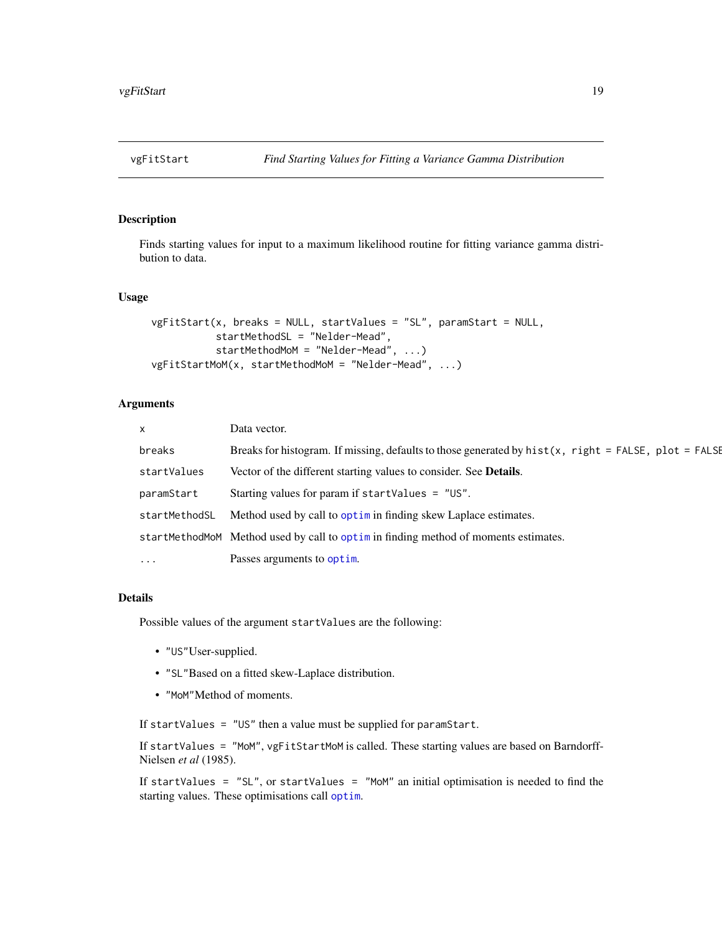<span id="page-18-1"></span><span id="page-18-0"></span>

# Description

Finds starting values for input to a maximum likelihood routine for fitting variance gamma distribution to data.

# Usage

```
vgFitStart(x, breaks = NULL, startValues = "SL", paramStart = NULL,
           startMethodSL = "Nelder-Mead",
           startMethodMoM = "Nelder-Mead", ...)
vgFitStartMoM(x, startMethodMoM = "Nelder-Mead", ...)
```
# Arguments

| $\mathsf{x}$  | Data vector.                                                                                            |
|---------------|---------------------------------------------------------------------------------------------------------|
| breaks        | Breaks for histogram. If missing, defaults to those generated by $hist(x, right = FALSE, plot = FALSE)$ |
| startValues   | Vector of the different starting values to consider. See <b>Details</b> .                               |
| paramStart    | Starting values for param if startValues = $"US".$                                                      |
| startMethodSL | Method used by call to optime in finding skew Laplace estimates.                                        |
|               | startMethodMoM Method used by call to optimin finding method of moments estimates.                      |
| $\ddotsc$     | Passes arguments to optim.                                                                              |

# Details

Possible values of the argument startValues are the following:

- "US"User-supplied.
- "SL"Based on a fitted skew-Laplace distribution.
- "MoM"Method of moments.

If startValues = "US" then a value must be supplied for paramStart.

If startValues = "MoM", vgFitStartMoM is called. These starting values are based on Barndorff-Nielsen *et al* (1985).

If startValues =  $"SL"$ , or startValues =  $"MOM"$  an initial optimisation is needed to find the starting values. These optimisations call [optim](#page-0-0).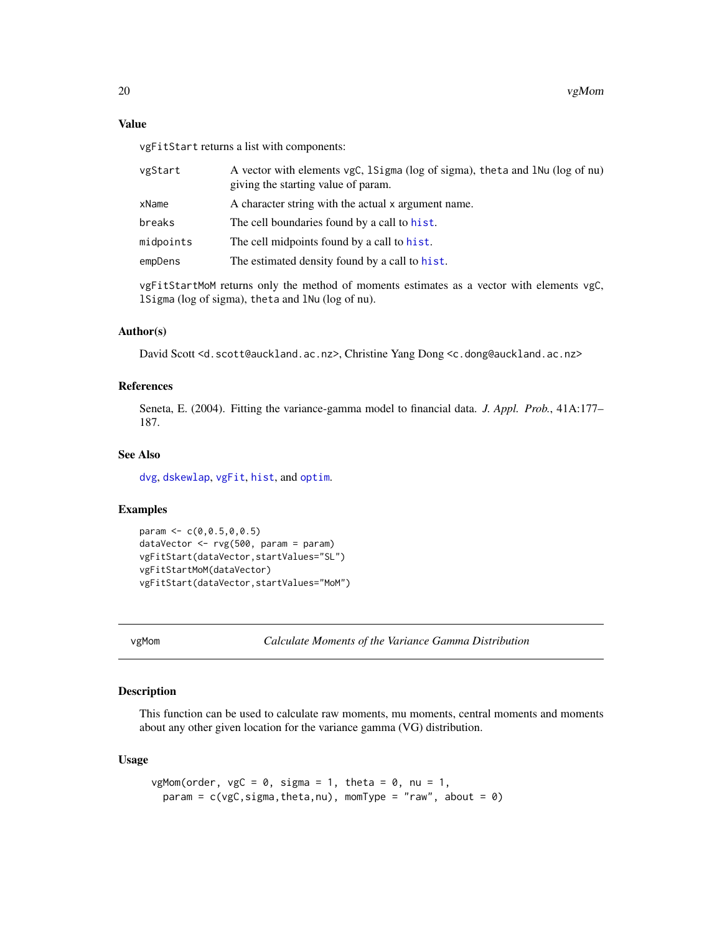vgFitStart returns a list with components:

| vgStart   | A vector with elements vgC, 1Sigma (log of sigma), theta and 1Nu (log of nu)<br>giving the starting value of param. |
|-----------|---------------------------------------------------------------------------------------------------------------------|
| xName     | A character string with the actual x argument name.                                                                 |
| breaks    | The cell boundaries found by a call to hist.                                                                        |
| midpoints | The cell midpoints found by a call to hist.                                                                         |
| empDens   | The estimated density found by a call to hist.                                                                      |
|           |                                                                                                                     |

vgFitStartMoM returns only the method of moments estimates as a vector with elements vgC, lSigma (log of sigma), theta and lNu (log of nu).

# Author(s)

David Scott <d.scott@auckland.ac.nz>, Christine Yang Dong <c.dong@auckland.ac.nz>

# References

Seneta, E. (2004). Fitting the variance-gamma model to financial data. *J. Appl. Prob.*, 41A:177– 187.

# See Also

[dvg](#page-3-1), [dskewlap](#page-0-0), [vgFit](#page-15-1), [hist](#page-0-0), and [optim](#page-0-0).

#### Examples

```
param <- c(0,0.5,0,0.5)
dataVector <- rvg(500, param = param)
vgFitStart(dataVector,startValues="SL")
vgFitStartMoM(dataVector)
vgFitStart(dataVector,startValues="MoM")
```

```
vgMom Calculate Moments of the Variance Gamma Distribution
```
# Description

This function can be used to calculate raw moments, mu moments, central moments and moments about any other given location for the variance gamma (VG) distribution.

## Usage

```
vgMom(order, vgC = 0, sigma = 1, theta = 0, nu = 1,
 param = c(vgc, sigma, theta, nu), momType = "raw", about = 0)
```
<span id="page-19-0"></span>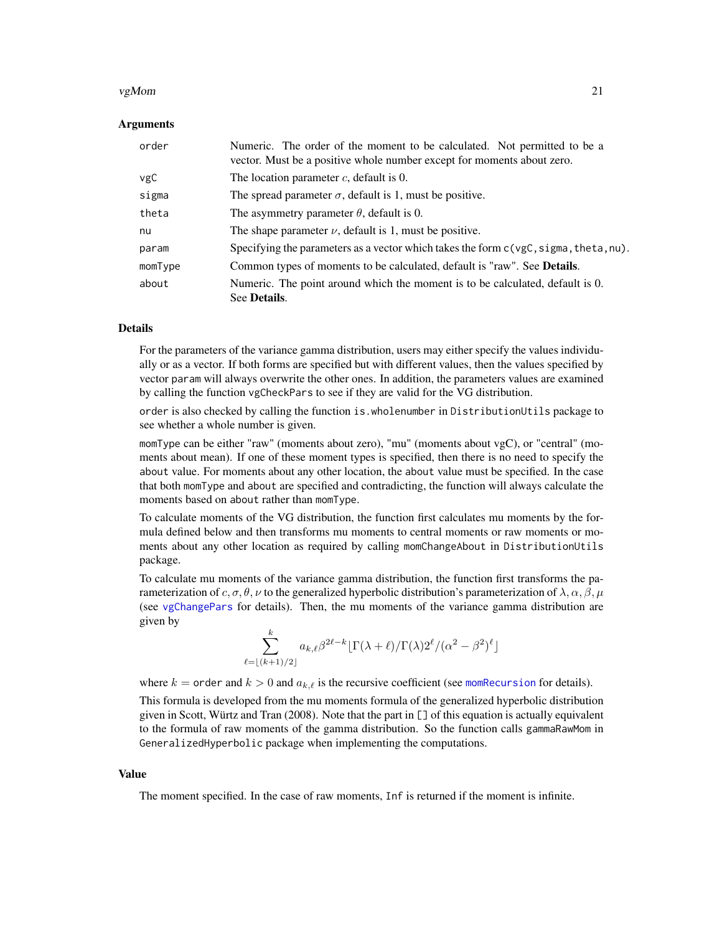#### <span id="page-20-0"></span> $vgMom$  21

# Arguments

| order   | Numeric. The order of the moment to be calculated. Not permitted to be a<br>vector. Must be a positive whole number except for moments about zero. |
|---------|----------------------------------------------------------------------------------------------------------------------------------------------------|
| vgC     | The location parameter $c$ , default is 0.                                                                                                         |
| sigma   | The spread parameter $\sigma$ , default is 1, must be positive.                                                                                    |
| theta   | The asymmetry parameter $\theta$ , default is 0.                                                                                                   |
| nu      | The shape parameter $\nu$ , default is 1, must be positive.                                                                                        |
| param   | Specifying the parameters as a vector which takes the form $c(vgc, sigma, theta, nu)$ .                                                            |
| momType | Common types of moments to be calculated, default is "raw". See <b>Details</b> .                                                                   |
| about   | Numeric. The point around which the moment is to be calculated, default is 0.<br>See Details.                                                      |

#### Details

For the parameters of the variance gamma distribution, users may either specify the values individually or as a vector. If both forms are specified but with different values, then the values specified by vector param will always overwrite the other ones. In addition, the parameters values are examined by calling the function vgCheckPars to see if they are valid for the VG distribution.

order is also checked by calling the function is.wholenumber in DistributionUtils package to see whether a whole number is given.

momType can be either "raw" (moments about zero), "mu" (moments about vgC), or "central" (moments about mean). If one of these moment types is specified, then there is no need to specify the about value. For moments about any other location, the about value must be specified. In the case that both momType and about are specified and contradicting, the function will always calculate the moments based on about rather than momType.

To calculate moments of the VG distribution, the function first calculates mu moments by the formula defined below and then transforms mu moments to central moments or raw moments or moments about any other location as required by calling momChangeAbout in DistributionUtils package.

To calculate mu moments of the variance gamma distribution, the function first transforms the parameterization of c,  $\sigma, \theta, \nu$  to the generalized hyperbolic distribution's parameterization of  $\lambda, \alpha, \beta, \mu$ (see [vgChangePars](#page-12-1) for details). Then, the mu moments of the variance gamma distribution are given by

$$
\sum_{\ell=\lfloor (k+1)/2 \rfloor}^k a_{k,\ell} \beta^{2\ell-k} \lfloor \Gamma(\lambda+\ell)/\Gamma(\lambda) 2^{\ell} / (\alpha^2 - \beta^2)^{\ell} \rfloor
$$

where  $k =$  order and  $k > 0$  and  $a_{k,\ell}$  is the recursive coefficient (see [momRecursion](#page-0-0) for details).

This formula is developed from the mu moments formula of the generalized hyperbolic distribution given in Scott, Würtz and Tran (2008). Note that the part in [] of this equation is actually equivalent to the formula of raw moments of the gamma distribution. So the function calls gammaRawMom in GeneralizedHyperbolic package when implementing the computations.

#### Value

The moment specified. In the case of raw moments, Inf is returned if the moment is infinite.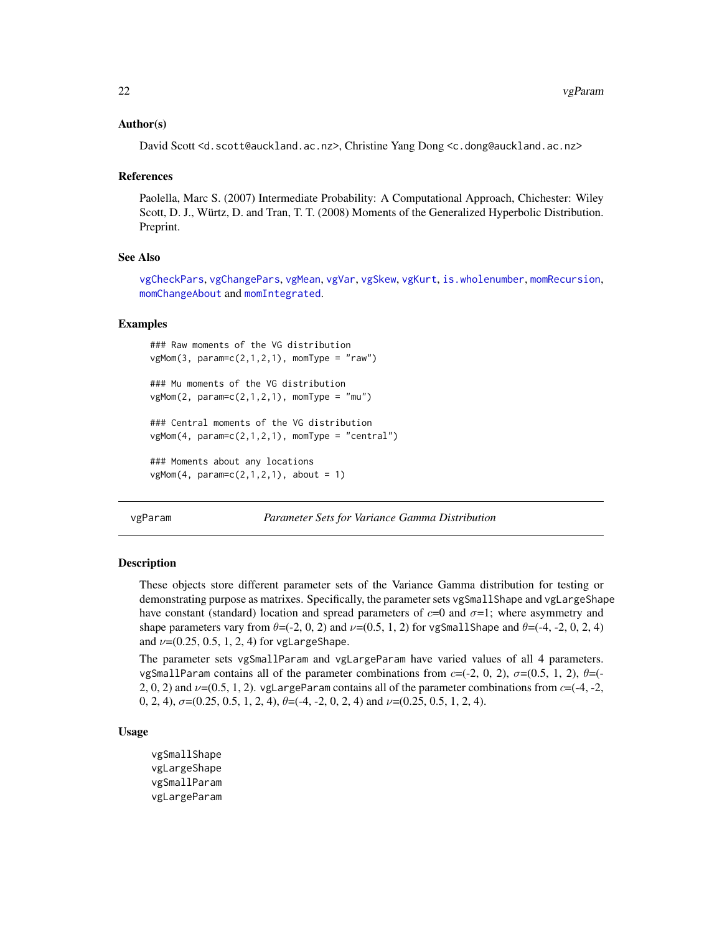# <span id="page-21-0"></span>Author(s)

David Scott <d.scott@auckland.ac.nz>, Christine Yang Dong <c.dong@auckland.ac.nz>

#### References

Paolella, Marc S. (2007) Intermediate Probability: A Computational Approach, Chichester: Wiley Scott, D. J., Würtz, D. and Tran, T. T. (2008) Moments of the Generalized Hyperbolic Distribution. Preprint.

## See Also

[vgCheckPars](#page-14-1), [vgChangePars](#page-12-1), [vgMean](#page-2-1), [vgVar](#page-2-1), [vgSkew](#page-2-1), [vgKurt](#page-2-1), [is.wholenumber](#page-0-0), [momRecursion](#page-0-0), [momChangeAbout](#page-0-0) and [momIntegrated](#page-0-0).

## Examples

```
### Raw moments of the VG distribution
vgMom(3, param = c(2, 1, 2, 1), momType = "raw")### Mu moments of the VG distribution
vgMom(2, param = c(2, 1, 2, 1), momType = "mu")### Central moments of the VG distribution
vgMom(4, param=c(2,1,2,1), momType = "central")### Moments about any locations
vgMom(4, param = c(2, 1, 2, 1), about = 1)
```
vgParam *Parameter Sets for Variance Gamma Distribution*

#### Description

These objects store different parameter sets of the Variance Gamma distribution for testing or demonstrating purpose as matrixes. Specifically, the parameter sets vgSmallShape and vgLargeShape have constant (standard) location and spread parameters of  $c=0$  and  $\sigma=1$ ; where asymmetry and shape parameters vary from  $\theta = (-2, 0, 2)$  and  $\nu = (0.5, 1, 2)$  for vgSmallShape and  $\theta = (-4, -2, 0, 2, 4)$ and  $\nu = (0.25, 0.5, 1, 2, 4)$  for vgLargeShape.

The parameter sets vgSmallParam and vgLargeParam have varied values of all 4 parameters. vgSmallParam contains all of the parameter combinations from  $c=(-2, 0, 2)$ ,  $\sigma=(0.5, 1, 2)$ ,  $\theta=(-$ 2, 0, 2) and  $\nu$ =(0.5, 1, 2). vgLargeParam contains all of the parameter combinations from c=(-4, -2, 0, 2, 4),  $\sigma$ =(0.25, 0.5, 1, 2, 4),  $\theta$ =(-4, -2, 0, 2, 4) and  $\nu$ =(0.25, 0.5, 1, 2, 4).

# Usage

vgSmallShape vgLargeShape vgSmallParam vgLargeParam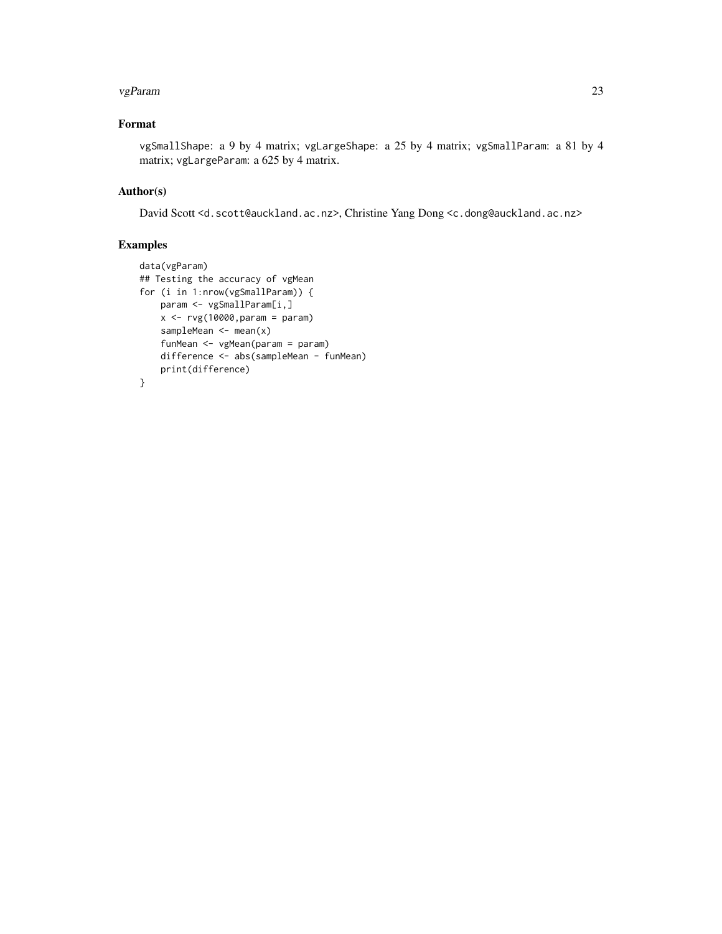#### vgParam 23

# Format

vgSmallShape: a 9 by 4 matrix; vgLargeShape: a 25 by 4 matrix; vgSmallParam: a 81 by 4 matrix; vgLargeParam: a 625 by 4 matrix.

# Author(s)

David Scott <d.scott@auckland.ac.nz>, Christine Yang Dong <c.dong@auckland.ac.nz>

```
data(vgParam)
## Testing the accuracy of vgMean
for (i in 1:nrow(vgSmallParam)) {
    param <- vgSmallParam[i,]
    x \leftarrow rvg(10000, \text{param} = \text{param})sampleMean <- mean(x)
    funMean <- vgMean(param = param)
    difference <- abs(sampleMean - funMean)
    print(difference)
}
```